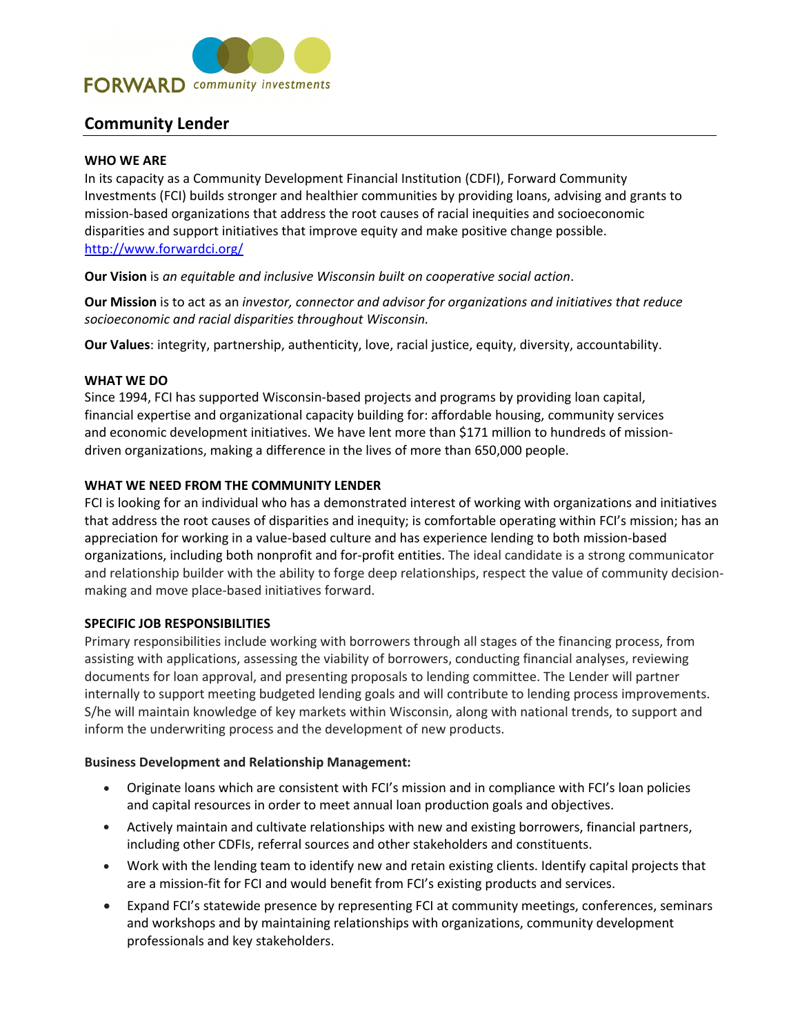

# **Community Lender**

### **WHO WE ARE**

In its capacity as a Community Development Financial Institution (CDFI), Forward Community Investments (FCI) builds stronger and healthier communities by providing loans, advising and grants to mission‐based organizations that address the root causes of racial inequities and socioeconomic disparities and support initiatives that improve equity and make positive change possible. http://www.forwardci.org/

**Our Vision** is *an equitable and inclusive Wisconsin built on cooperative social action*.

**Our Mission** is to act as an *investor, connector and advisor for organizations and initiatives that reduce socioeconomic and racial disparities throughout Wisconsin.*

**Our Values**: integrity, partnership, authenticity, love, racial justice, equity, diversity, accountability.

## **WHAT WE DO**

Since 1994, FCI has supported Wisconsin‐based projects and programs by providing loan capital, financial expertise and organizational capacity building for: affordable housing, community services and economic development initiatives. We have lent more than \$171 million to hundreds of missiondriven organizations, making a difference in the lives of more than 650,000 people.

## **WHAT WE NEED FROM THE COMMUNITY LENDER**

FCI is looking for an individual who has a demonstrated interest of working with organizations and initiatives that address the root causes of disparities and inequity; is comfortable operating within FCI's mission; has an appreciation for working in a value‐based culture and has experience lending to both mission‐based organizations, including both nonprofit and for‐profit entities. The ideal candidate is a strong communicator and relationship builder with the ability to forge deep relationships, respect the value of community decision‐ making and move place‐based initiatives forward.

#### **SPECIFIC JOB RESPONSIBILITIES**

Primary responsibilities include working with borrowers through all stages of the financing process, from assisting with applications, assessing the viability of borrowers, conducting financial analyses, reviewing documents for loan approval, and presenting proposals to lending committee. The Lender will partner internally to support meeting budgeted lending goals and will contribute to lending process improvements. S/he will maintain knowledge of key markets within Wisconsin, along with national trends, to support and inform the underwriting process and the development of new products.

#### **Business Development and Relationship Management:**

- Originate loans which are consistent with FCI's mission and in compliance with FCI's loan policies and capital resources in order to meet annual loan production goals and objectives.
- Actively maintain and cultivate relationships with new and existing borrowers, financial partners, including other CDFIs, referral sources and other stakeholders and constituents.
- Work with the lending team to identify new and retain existing clients. Identify capital projects that are a mission‐fit for FCI and would benefit from FCI's existing products and services.
- Expand FCI's statewide presence by representing FCI at community meetings, conferences, seminars and workshops and by maintaining relationships with organizations, community development professionals and key stakeholders.